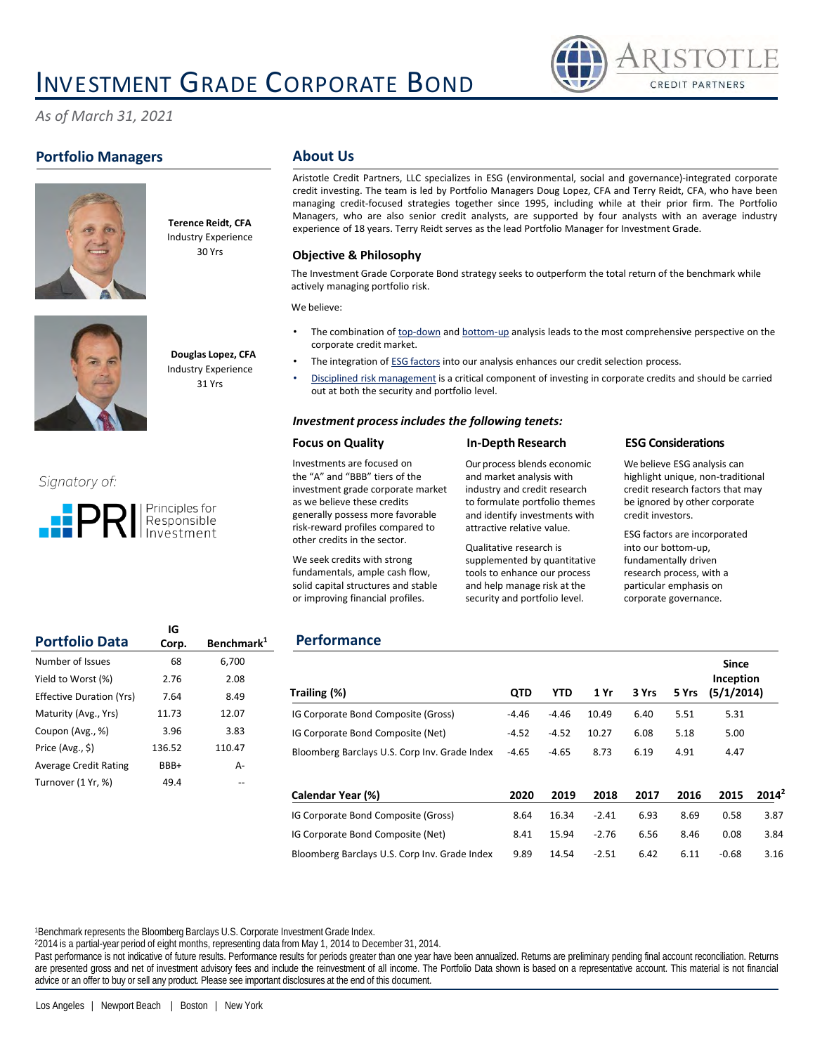# INVESTMENT GRADE CORPORATE BOND



*As of March 31, 2021*

## **Portfolio Managers**





**Douglas Lopez, CFA**

**Terence Reidt, CFA** Industry Experience 30 Yrs

Industry Experience 31 Yrs

## Signatory of:



### **About Us**

Aristotle Credit Partners, LLC specializes in ESG (environmental, social and governance)‐integrated corporate credit investing. The team is led by Portfolio Managers Doug Lopez, CFA and Terry Reidt, CFA, who have been managing credit‐focused strategies together since 1995, including while at their prior firm. The Portfolio Managers, who are also senior credit analysts, are supported by four analysts with an average industry experience of 18 years. Terry Reidt serves as the lead Portfolio Manager for Investment Grade.

#### **Objective & Philosophy**

The Investment Grade Corporate Bond strategy seeks to outperform the total return of the benchmark while actively managing portfolio risk.

We believe:

- The combination of top-down and bottom-up analysis leads to the most comprehensive perspective on the corporate credit market.
- The integration of ESG factors into our analysis enhances our credit selection process.
- Disciplined risk management is a critical component of investing in corporate credits and should be carried out at both the security and portfolio level.

#### *Investment process includes the following tenets:*

#### **Focus on Quality**

#### Investments are focused on the "A" and "BBB" tiers of the investment grade corporate market as we believe these credits generally possess more favorable risk-reward profiles compared to other credits in the sector.

We seek credits with strong fundamentals, ample cash flow, solid capital structures and stable or improving financial profiles.

Our process blends economic and market analysis with industry and credit research to formulate portfolio themes and identify investments with attractive relative value.

**In-Depth Research**

Qualitative research is supplemented by quantitative tools to enhance our process and help manage risk at the security and portfolio level.

#### **ESG Considerations**

We believe ESG analysis can highlight unique, non-traditional credit research factors that may be ignored by other corporate credit investors.

ESG factors are incorporated into our bottom-up, fundamentally driven research process, with a particular emphasis on corporate governance.

**Since** 

| <b>Portfolio Data</b>           | Corp.  | Benchmark <sup>1</sup> |
|---------------------------------|--------|------------------------|
| Number of Issues                | 68     | 6,700                  |
| Yield to Worst (%)              | 2.76   | 2.08                   |
| <b>Effective Duration (Yrs)</b> | 7.64   | 8.49                   |
| Maturity (Avg., Yrs)            | 11.73  | 12.07                  |
| Coupon (Avg., %)                | 3.96   | 3.83                   |
| Price (Avg., \$)                | 136.52 | 110.47                 |
| <b>Average Credit Rating</b>    | BBB+   | А-                     |
| Turnover (1 Yr, %)              | 49.4   |                        |

**IG**

## **Performance**

| Trailing (%)                                  | <b>QTD</b> | <b>YTD</b> | 1 Yr    | 3 Yrs | 5 Yrs | энке<br>Inception<br>(5/1/2014) |          |
|-----------------------------------------------|------------|------------|---------|-------|-------|---------------------------------|----------|
| IG Corporate Bond Composite (Gross)           | $-4.46$    | $-4.46$    | 10.49   | 6.40  | 5.51  | 5.31                            |          |
| IG Corporate Bond Composite (Net)             | $-4.52$    | $-4.52$    | 10.27   | 6.08  | 5.18  | 5.00                            |          |
| Bloomberg Barclays U.S. Corp Inv. Grade Index | $-4.65$    | $-4.65$    | 8.73    | 6.19  | 4.91  | 4.47                            |          |
| Calendar Year (%)                             | 2020       | 2019       | 2018    | 2017  | 2016  | 2015                            | $2014^2$ |
| IG Corporate Bond Composite (Gross)           | 8.64       | 16.34      | $-2.41$ | 6.93  | 8.69  | 0.58                            | 3.87     |
| IG Corporate Bond Composite (Net)             | 8.41       | 15.94      | $-2.76$ | 6.56  | 8.46  | 0.08                            | 3.84     |
| Bloomberg Barclays U.S. Corp Inv. Grade Index | 9.89       | 14.54      | $-2.51$ | 6.42  | 6.11  | $-0.68$                         | 3.16     |

<sup>1</sup>Benchmark represents the Bloomberg Barclays U.S. Corporate Investment Grade Index.

<sup>2</sup>2014 is a partial-year period of eight months, representing data from May 1, 2014 to December 31, 2014.

Past performance is not indicative of future results. Performance results for periods greater than one year have been annualized. Returns are preliminary pending final account reconciliation. Returns are presented gross and net of investment advisory fees and include the reinvestment of all income. The Portfolio Data shown is based on a representative account. This material is not financial advice or an offer to buy or sell any product. Please see important disclosures at the end of this document.